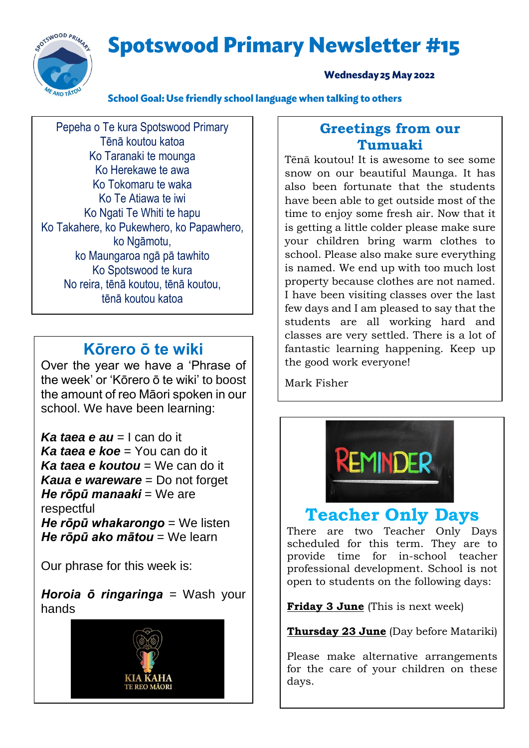**Spotswood Primary Newsletter #15** 



#### **Wednesday 25 May 2022**

School Goal: Use friendly school language when talking to others

Pepeha o Te kura Spotswood Primary Tēnā koutou katoa Ko Taranaki te mounga Ko Herekawe te awa Ko Tokomaru te waka Ko Te Atiawa te iwi Ko Ngati Te Whiti te hapu Ko Takahere, ko Pukewhero, ko Papawhero, ko Ngāmotu, ko Maungaroa ngā pā tawhito Ko Spotswood te kura No reira, tēnā koutou, tēnā koutou, tēnā koutou katoa

## **Kōrero ō te wiki**

Over the year we have a 'Phrase of the week' or 'Kōrero ō te wiki' to boost the amount of reo Māori spoken in our school. We have been learning:

*Ka taea e au* = I can do it *Ka taea e koe* = You can do it *Ka taea e koutou* = We can do it *Kaua e wareware* = Do not forget *He rōpū manaaki* = We are respectful *He rōpū whakarongo* = We listen *He rōpū ako mātou* = We learn

Our phrase for this week is:

*Horoia ō ringaringa* = Wash your hands



### **Greetings from our Tumuaki**

Tēnā koutou! It is awesome to see some snow on our beautiful Maunga. It has also been fortunate that the students have been able to get outside most of the time to enjoy some fresh air. Now that it is getting a little colder please make sure your children bring warm clothes to school. Please also make sure everything is named. We end up with too much lost property because clothes are not named. I have been visiting classes over the last few days and I am pleased to say that the students are all working hard and classes are very settled. There is a lot of fantastic learning happening. Keep up the good work everyone!

Mark Fisher



# **Teacher Only Days**

There are two Teacher Only Days scheduled for this term. They are to provide time for in-school teacher professional development. School is not open to students on the following days:

**Friday 3 June** (This is next week)

**Thursday 23 June** (Day before Matariki)

Please make alternative arrangements for the care of your children on these days.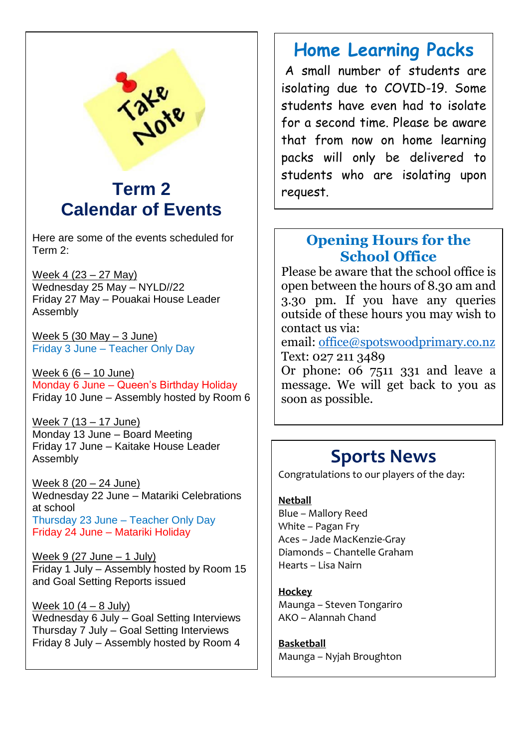

# **Term 2 Calendar of Events**

Here are some of the events scheduled for Term 2:

Week 4 (23 – 27 May) Wednesday 25 May – NYLD//22 Friday 27 May – Pouakai House Leader Assembly

Week 5 (30 May – 3 June) Friday 3 June – Teacher Only Day

Week 6 (6 – 10 June) Monday 6 June – Queen's Birthday Holiday Friday 10 June – Assembly hosted by Room 6

Week 7 (13 – 17 June) Monday 13 June – Board Meeting Friday 17 June – Kaitake House Leader Assembly

Week 8 (20 – 24 June) Wednesday 22 June – Matariki Celebrations at school Thursday 23 June – Teacher Only Day Friday 24 June – Matariki Holiday

Week 9 (27 June  $-$  1 July) Friday 1 July – Assembly hosted by Room 15 and Goal Setting Reports issued

Week 10  $(4 - 8$  July) Wednesday 6 July – Goal Setting Interviews Thursday 7 July – Goal Setting Interviews Friday 8 July – Assembly hosted by Room 4

# **Home Learning Packs**

A small number of students are isolating due to COVID-19. Some students have even had to isolate for a second time. Please be aware that from now on home learning packs will only be delivered to students who are isolating upon request.

### **Opening Hours for the School Office**

Please be aware that the school office is open between the hours of 8.30 am and 3.30 pm. If you have any queries outside of these hours you may wish to contact us via:

email: [office@spotswoodprimary.co.nz](mailto:office@spotswoodprimary.co.nz) Text: 027 211 3489

Or phone: 06 7511 331 and leave a message. We will get back to you as soon as possible.

# **Sports News**

Congratulations to our players of the day:

#### **Netball**

Blue – Mallory Reed White – Pagan Fry Aces – Jade MacKenzie-Gray Diamonds – Chantelle Graham Hearts – Lisa Nairn

#### **Hockey**

Maunga – Steven Tongariro AKO – Alannah Chand

**Basketball** Maunga – Nyjah Broughton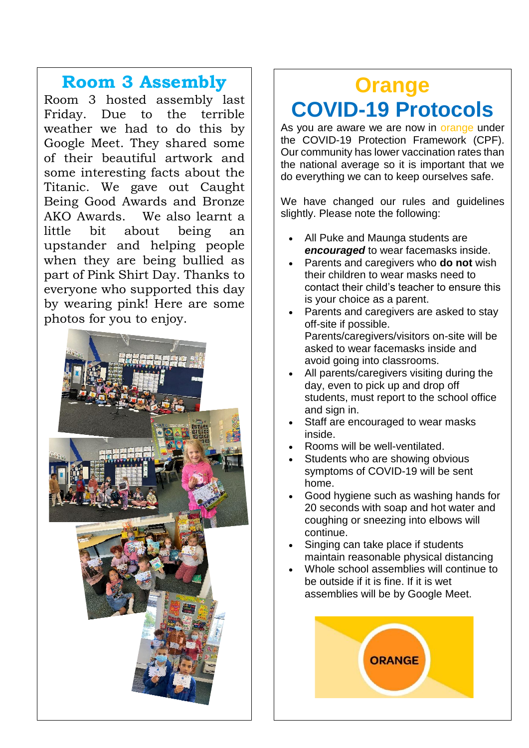## **Room 3 Assembly**

Room 3 hosted assembly last Friday. Due to the terrible weather we had to do this by Google Meet. They shared some of their beautiful artwork and some interesting facts about the Titanic. We gave out Caught Being Good Awards and Bronze AKO Awards. We also learnt a little bit about being an upstander and helping people when they are being bullied as part of Pink Shirt Day. Thanks to everyone who supported this day by wearing pink! Here are some photos for you to enjoy.



# **Orange COVID-19 Protocols**

As you are aware we are now in orange under the COVID-19 Protection Framework (CPF). Our community has lower vaccination rates than the national average so it is important that we do everything we can to keep ourselves safe.

We have changed our rules and guidelines slightly. Please note the following:

- All Puke and Maunga students are *encouraged* to wear facemasks inside.
- Parents and caregivers who **do not** wish their children to wear masks need to contact their child's teacher to ensure this is your choice as a parent.
- Parents and caregivers are asked to stay off-site if possible. Parents/caregivers/visitors on-site will be asked to wear facemasks inside and avoid going into classrooms.
- All parents/caregivers visiting during the day, even to pick up and drop off students, must report to the school office and sign in.
- Staff are encouraged to wear masks inside.
- Rooms will be well-ventilated.
- Students who are showing obvious symptoms of COVID-19 will be sent home.
- Good hygiene such as washing hands for 20 seconds with soap and hot water and coughing or sneezing into elbows will continue.
- Singing can take place if students maintain reasonable physical distancing
- Whole school assemblies will continue to be outside if it is fine. If it is wet assemblies will be by Google Meet.